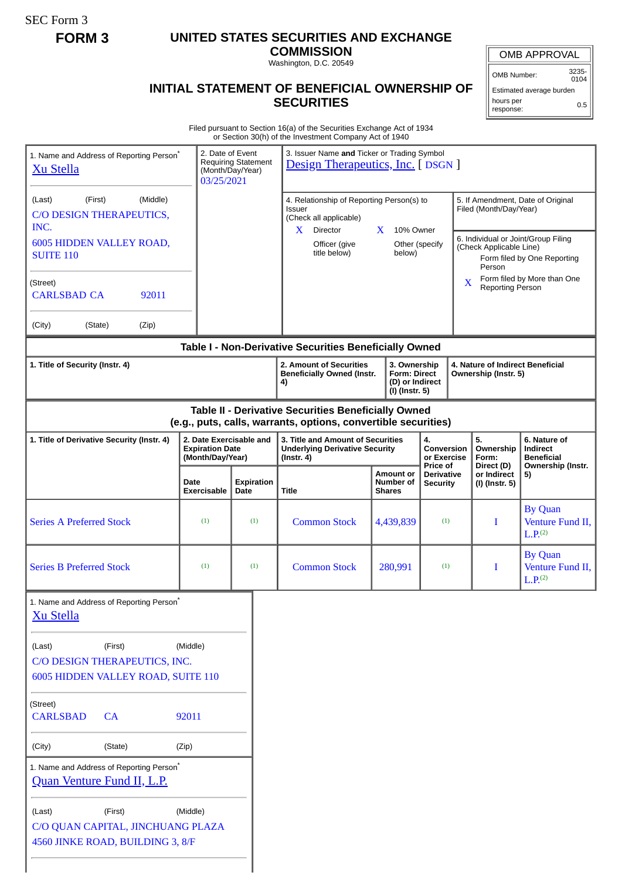SEC Form 3

## **FORM 3 UNITED STATES SECURITIES AND EXCHANGE**

**COMMISSION** Washington, D.C. 20549

## **INITIAL STATEMENT OF BENEFICIAL OWNERSHIP OF SECURITIES**

OMB APPROVAL

OMB Number: 3235- 0104

Estimated average burden hours per response: 0.5

Filed pursuant to Section 16(a) of the Securities Exchange Act of 1934 or Section 30(h) of the Investment Company Act of 1940

|                                                                                               |         |                                                                       |                                                | or Section 30(n) or the investment Company Act or 1940                                                                |                                                                                                                                          |           |                                                    |                                                                                                                               |                                        |                                                                    |  |
|-----------------------------------------------------------------------------------------------|---------|-----------------------------------------------------------------------|------------------------------------------------|-----------------------------------------------------------------------------------------------------------------------|------------------------------------------------------------------------------------------------------------------------------------------|-----------|----------------------------------------------------|-------------------------------------------------------------------------------------------------------------------------------|----------------------------------------|--------------------------------------------------------------------|--|
| 1. Name and Address of Reporting Person <sup>®</sup><br><b>Xu Stella</b>                      |         | 2. Date of Event<br>03/25/2021                                        | <b>Requiring Statement</b><br>(Month/Day/Year) |                                                                                                                       | 3. Issuer Name and Ticker or Trading Symbol<br><b>Design Therapeutics, Inc.</b> [ DSGN ]                                                 |           |                                                    |                                                                                                                               |                                        |                                                                    |  |
| (Middle)<br>(First)<br>(Last)<br>C/O DESIGN THERAPEUTICS,<br>INC.<br>6005 HIDDEN VALLEY ROAD, |         |                                                                       |                                                | Issuer<br>(Check all applicable)<br>$X$ Director<br>Officer (give                                                     | 4. Relationship of Reporting Person(s) to<br>10% Owner<br>X<br>Other (specify                                                            |           |                                                    | 5. If Amendment, Date of Original<br>Filed (Month/Day/Year)<br>6. Individual or Joint/Group Filing<br>(Check Applicable Line) |                                        |                                                                    |  |
| <b>SUITE 110</b>                                                                              |         |                                                                       |                                                | title below)                                                                                                          |                                                                                                                                          | below)    |                                                    |                                                                                                                               | Person                                 | Form filed by One Reporting                                        |  |
| (Street)<br><b>CARLSBAD CA</b><br>92011                                                       |         |                                                                       |                                                |                                                                                                                       |                                                                                                                                          |           |                                                    | Form filed by More than One<br>$\mathbf{X}$<br><b>Reporting Person</b>                                                        |                                        |                                                                    |  |
| (City)<br>(State)                                                                             | (Zip)   |                                                                       |                                                |                                                                                                                       |                                                                                                                                          |           |                                                    |                                                                                                                               |                                        |                                                                    |  |
|                                                                                               |         |                                                                       |                                                | Table I - Non-Derivative Securities Beneficially Owned                                                                |                                                                                                                                          |           |                                                    |                                                                                                                               |                                        |                                                                    |  |
| 1. Title of Security (Instr. 4)                                                               |         |                                                                       |                                                | 4)                                                                                                                    | 2. Amount of Securities<br>3. Ownership<br><b>Form: Direct</b><br><b>Beneficially Owned (Instr.</b><br>(D) or Indirect<br>(I) (Instr. 5) |           |                                                    | 4. Nature of Indirect Beneficial<br>Ownership (Instr. 5)                                                                      |                                        |                                                                    |  |
|                                                                                               |         |                                                                       |                                                | Table II - Derivative Securities Beneficially Owned<br>(e.g., puts, calls, warrants, options, convertible securities) |                                                                                                                                          |           |                                                    |                                                                                                                               |                                        |                                                                    |  |
| 1. Title of Derivative Security (Instr. 4)                                                    |         | 2. Date Exercisable and<br><b>Expiration Date</b><br>(Month/Day/Year) |                                                | $($ Instr. 4 $)$                                                                                                      | 3. Title and Amount of Securities<br><b>Underlying Derivative Security</b>                                                               |           | 4.<br><b>Conversion</b><br>or Exercise<br>Price of |                                                                                                                               | 5.<br>Ownership<br>Form:<br>Direct (D) | 6. Nature of<br>Indirect<br><b>Beneficial</b><br>Ownership (Instr. |  |
|                                                                                               |         | Date<br>Exercisable                                                   | <b>Expiration</b><br>Date                      | Title                                                                                                                 | <b>Amount or</b><br>Number of<br><b>Shares</b>                                                                                           |           | <b>Derivative</b><br><b>Security</b>               |                                                                                                                               | or Indirect<br>(I) (Instr. 5)          | 5)                                                                 |  |
| <b>Series A Preferred Stock</b>                                                               |         | (1)                                                                   | (1)                                            | <b>Common Stock</b>                                                                                                   |                                                                                                                                          | 4,439,839 | (1)                                                |                                                                                                                               | I                                      | <b>By Quan</b><br>Venture Fund II,<br>L.P. <sub>(2)</sub>          |  |
| <b>Series B Preferred Stock</b>                                                               |         | (1)                                                                   | (1)                                            | <b>Common Stock</b>                                                                                                   |                                                                                                                                          | 280,991   | (1)                                                |                                                                                                                               | Ι                                      | <b>By Quan</b><br>Venture Fund II,<br>L.P. <sup>(2)</sup>          |  |
| 1. Name and Address of Reporting Person <sup>®</sup><br><b>Xu Stella</b>                      |         |                                                                       |                                                |                                                                                                                       |                                                                                                                                          |           |                                                    |                                                                                                                               |                                        |                                                                    |  |
| (Last)<br>C/O DESIGN THERAPEUTICS, INC.                                                       | (First) | (Middle)                                                              |                                                |                                                                                                                       |                                                                                                                                          |           |                                                    |                                                                                                                               |                                        |                                                                    |  |
| 6005 HIDDEN VALLEY ROAD, SUITE 110                                                            |         |                                                                       |                                                |                                                                                                                       |                                                                                                                                          |           |                                                    |                                                                                                                               |                                        |                                                                    |  |
| (Street)<br><b>CARLSBAD</b>                                                                   | CA      | 92011                                                                 |                                                |                                                                                                                       |                                                                                                                                          |           |                                                    |                                                                                                                               |                                        |                                                                    |  |
| (City)                                                                                        | (State) | (Zip)                                                                 |                                                |                                                                                                                       |                                                                                                                                          |           |                                                    |                                                                                                                               |                                        |                                                                    |  |
| 1. Name and Address of Reporting Person*<br>Quan Venture Fund II, L.P.                        |         |                                                                       |                                                |                                                                                                                       |                                                                                                                                          |           |                                                    |                                                                                                                               |                                        |                                                                    |  |
| (Last)<br>C/O QUAN CAPITAL, JINCHUANG PLAZA<br>4560 JINKE ROAD, BUILDING 3, 8/F               | (First) | (Middle)                                                              |                                                |                                                                                                                       |                                                                                                                                          |           |                                                    |                                                                                                                               |                                        |                                                                    |  |
|                                                                                               |         |                                                                       |                                                |                                                                                                                       |                                                                                                                                          |           |                                                    |                                                                                                                               |                                        |                                                                    |  |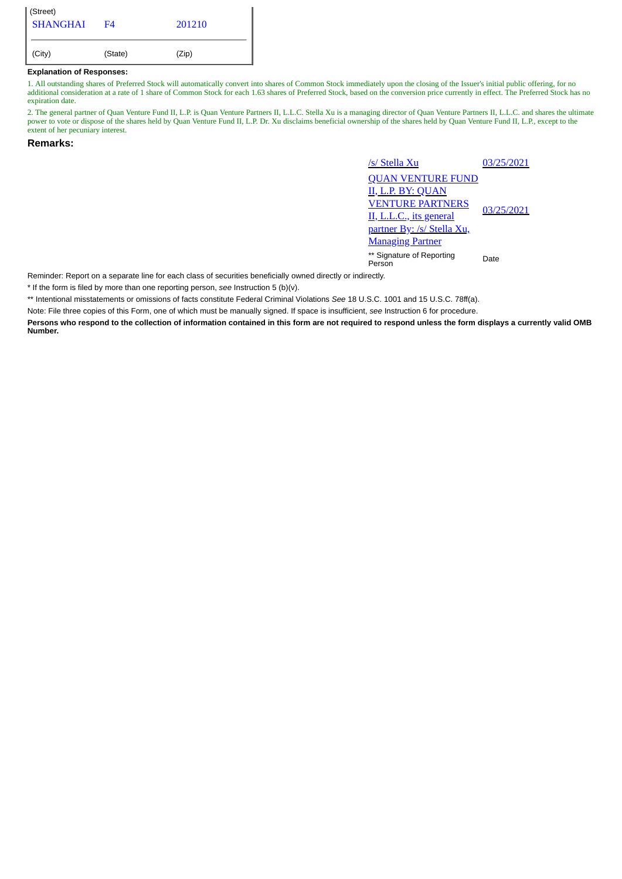| (Street)<br><b>SHANGHAI</b> | F4      | 201210 |
|-----------------------------|---------|--------|
| (City)                      | (State) | (Zip)  |

## **Explanation of Responses:**

1. All outstanding shares of Preferred Stock will automatically convert into shares of Common Stock immediately upon the closing of the Issuer's initial public offering, for no additional consideration at a rate of 1 share of Common Stock for each 1.63 shares of Preferred Stock, based on the conversion price currently in effect. The Preferred Stock has no expiration date.

2. The general partner of Quan Venture Fund II, L.P. is Quan Venture Partners II, L.L.C. Stella Xu is a managing director of Quan Venture Partners II, L.L.C. and shares the ultimate power to vote or dispose of the shares held by Quan Venture Fund II, L.P. Dr. Xu disclaims beneficial ownership of the shares held by Quan Venture Fund II, L.P., except to the extent of her pecuniary interest.

## **Remarks:**

/s/ Stella Xu 03/25/2021 QUAN VENTURE FUND **P. BY: QUAN** VENTURE PARTNERS II, L.L.C., its general partner By: /s/ Stella Xu, Managing Partner 03/25/2021 \*\* Signature of Reporting Person Date

Reminder: Report on a separate line for each class of securities beneficially owned directly or indirectly.

\* If the form is filed by more than one reporting person, *see* Instruction 5 (b)(v).

\*\* Intentional misstatements or omissions of facts constitute Federal Criminal Violations *See* 18 U.S.C. 1001 and 15 U.S.C. 78ff(a).

Note: File three copies of this Form, one of which must be manually signed. If space is insufficient, *see* Instruction 6 for procedure.

**Persons who respond to the collection of information contained in this form are not required to respond unless the form displays a currently valid OMB Number.**